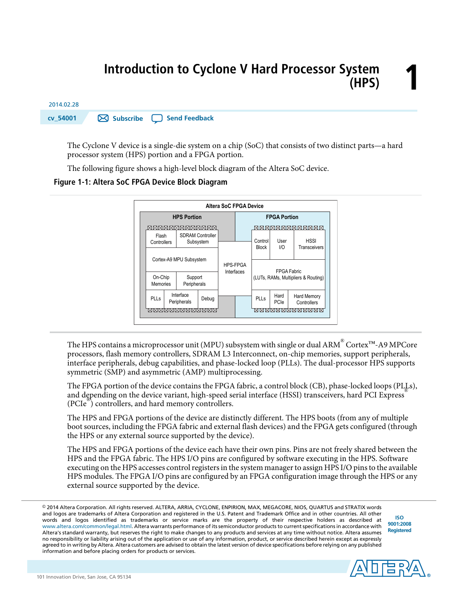# **1 Introduction to Cyclone V Hard Processor System (HPS)**



The Cyclone V device is a single-die system on a chip (SoC) that consists of two distinct parts—a hard processor system (HPS) portion and a FPGA portion.

The following figure shows a high-level block diagram of the Altera SoC device.

**Figure 1-1: Altera SoC FPGA Device Block Diagram**



The HPS contains a microprocessor unit (MPU) subsystem with single or dual ARM $^\circ$  Cortex™-A9 MPCore processors, flash memory controllers, SDRAM L3 Interconnect, on-chip memories, support peripherals, interface peripherals, debug capabilities, and phase-locked loop (PLLs). The dual-processor HPS supports symmetric (SMP) and asymmetric (AMP) multiprocessing.

The FPGA portion of the device contains the FPGA fabric, a control block (CB), phase-locked loops (PLLs), and depending on the device variant, high-speed serial interface (HSSI) transceivers, hard PCI Express (PCIe<sup>®</sup>) controllers, and hard memory controllers.

The HPS and FPGA portions of the device are distinctly different. The HPS boots (from any of multiple boot sources, including the FPGA fabric and external flash devices) and the FPGA gets configured (through the HPS or any external source supported by the device).

The HPS and FPGA portions of the device each have their own pins. Pins are not freely shared between the HPS and the FPGA fabric. The HPS I/O pins are configured by software executing in the HPS. Software executing on the HPS accesses control registers in the system manager to assign HPS I/O pins to the available HPS modules. The FPGA I/O pins are configured by an FPGA configuration image through the HPS or any external source supported by the device.

© 2014 Altera Corporation. All rights reserved. ALTERA, ARRIA, CYCLONE, ENPIRION, MAX, MEGACORE, NIOS, QUARTUS and STRATIX words and logos are trademarks of Altera Corporation and registered in the U.S. Patent and Trademark Office and in other countries. All other words and logos identified as trademarks or service marks are the property of their respective holders as described at www.altera.com/common/legal.html. Altera warrants performance of its semiconductor products to current specifications in accordance with Altera's standard warranty, but reserves the right to make changes to any products and services at any time without notice. Altera assumes no responsibility or liability arising out of the application or use of any information, product, or service described herein except as expressly agreed to in writing by Altera. Altera customers are advised to obtain the latest version of device specifications before relying on any published information and before placing orders for products or services.

**[ISO](http://www.altera.com/support/devices/reliability/certifications/rel-certifications.html) [9001:2008](http://www.altera.com/support/devices/reliability/certifications/rel-certifications.html) [Registered](http://www.altera.com/support/devices/reliability/certifications/rel-certifications.html)**

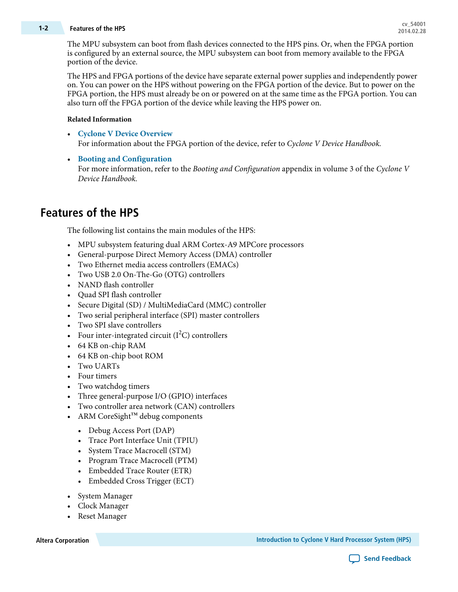# **cv\_54001 1-2 Features of the HPS 2014.02.28**

The MPU subsystem can boot from flash devices connected to the HPS pins. Or, when the FPGA portion is configured by an external source, the MPU subsystem can boot from memory available to the FPGA portion of the device.

The HPS and FPGA portions of the device have separate external power supplies and independently power on. You can power on the HPS without powering on the FPGA portion of the device. But to power on the FPGA portion, the HPS must already be on or powered on at the same time as the FPGA portion. You can also turn off the FPGA portion of the device while leaving the HPS power on.

#### **Related Information**

- **Cyclone V Device [Overview](http://www.altera.com/literature/hb/cyclone-v/cv_51001.pdf)** For information about the FPGA portion of the device, refer to Cyclone V Device Handbook.
- **Booting and [Configuration](http://www.altera.com/literature/hb/cyclone-v/cv_5400A.pdf)** For more information, refer to the *Booting and Configuration* appendix in volume 3 of the Cyclone V Device Handbook.

# **Features of the HPS**

The following list contains the main modules of the HPS:

- MPU subsystem featuring dual ARM Cortex-A9 MPCore processors
- General-purpose Direct Memory Access (DMA) controller
- Two Ethernet media access controllers (EMACs)
- Two USB 2.0 On-The-Go (OTG) controllers
- NAND flash controller
- Quad SPI flash controller
- Secure Digital (SD) / MultiMediaCard (MMC) controller
- Two serial peripheral interface (SPI) master controllers
- Two SPI slave controllers
- Four inter-integrated circuit  $(I<sup>2</sup>C)$  controllers
- 64 KB on-chip RAM
- 64 KB on-chip boot ROM
- Two UARTs
- Four timers
- Two watchdog timers
- Three general-purpose I/O (GPIO) interfaces
- Two controller area network (CAN) controllers
- ARM CoreSight™ debug components
	- Debug Access Port (DAP)
	- Trace Port Interface Unit (TPIU)
	- System Trace Macrocell (STM)
	- Program Trace Macrocell (PTM)
	- Embedded Trace Router (ETR)
	- Embedded Cross Trigger (ECT)
- System Manager
- Clock Manager
- Reset Manager

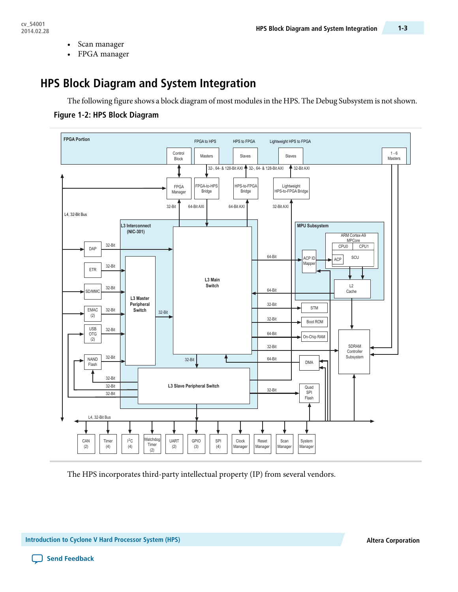- Scan manager
- FPGA manager

# **HPS Block Diagram and System Integration**

The following figure shows a block diagram of most modules in the HPS. The Debug Subsystem is not shown.

### **Figure 1-2: HPS Block Diagram**



The HPS incorporates third-party intellectual property (IP) from several vendors.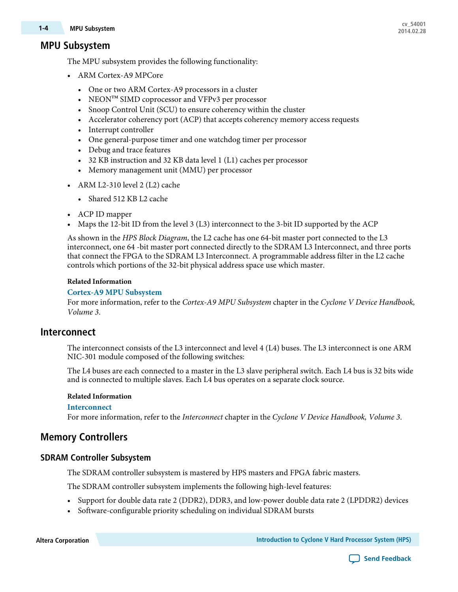# **cv\_54001 1-4 MPU Subsystem 2014.02.28**

# **MPU Subsystem**

The MPU subsystem provides the following functionality:

- ARM Cortex-A9 MPCore
	- One or two ARM Cortex-A9 processors in a cluster
	- NEON<sup>™</sup> SIMD coprocessor and VFPv3 per processor
	- Snoop Control Unit (SCU) to ensure coherency within the cluster
	- Accelerator coherency port (ACP) that accepts coherency memory access requests
	- Interrupt controller
	- One general-purpose timer and one watchdog timer per processor
	- Debug and trace features
	- 32 KB instruction and 32 KB data level 1 (L1) caches per processor
	- Memory management unit (MMU) per processor
- ARM L2-310 level 2 (L2) cache
	- Shared 512 KB L2 cache
- ACP ID mapper
- Maps the 12-bit ID from the level 3 (L3) interconnect to the 3-bit ID supported by the ACP

As shown in the HPS Block Diagram, the L2 cache has one 64-bit master port connected to the L3 interconnect, one 64 -bit master port connected directly to the SDRAM L3 Interconnect, and three ports that connect the FPGA to the SDRAM L3 Interconnect. A programmable address filter in the L2 cache controls which portions of the 32-bit physical address space use which master.

#### **Related Information**

#### **Cortex-A9 MPU [Subsystem](http://www.altera.com/literature/hb/cyclone-v/cv_54006.pdf)**

For more information, refer to the Cortex-A9 MPU Subsystem chapter in the Cyclone V Device Handbook, Volume 3.

### **Interconnect**

The interconnect consists of the L3 interconnect and level 4 (L4) buses. The L3 interconnect is one ARM NIC-301 module composed of the following switches:

The L4 buses are each connected to a master in the L3 slave peripheral switch. Each L4 bus is 32 bits wide and is connected to multiple slaves. Each L4 bus operates on a separate clock source.

#### **Related Information**

#### **[Interconnect](http://www.altera.com/literature/hb/cyclone-v/cv_54004.pdf)**

For more information, refer to the Interconnect chapter in the Cyclone V Device Handbook, Volume 3.

# **Memory Controllers**

#### **SDRAM Controller Subsystem**

The SDRAM controller subsystem is mastered by HPS masters and FPGA fabric masters.

The SDRAM controller subsystem implements the following high-level features:

- Support for double data rate 2 (DDR2), DDR3, and low-power double data rate 2 (LPDDR2) devices
- Software-configurable priority scheduling on individual SDRAM bursts

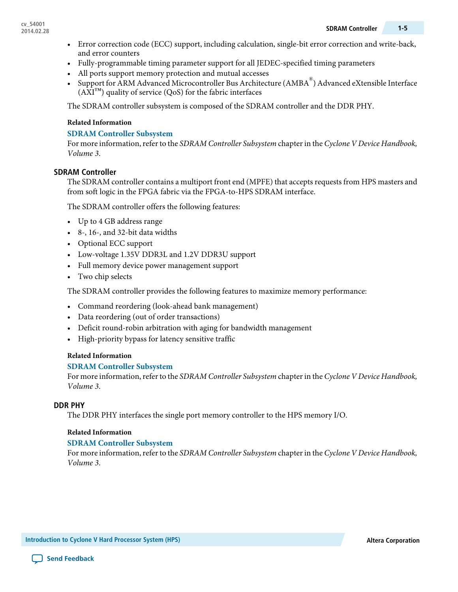- Error correction code (ECC) support, including calculation, single-bit error correction and write-back, and error counters
- Fully-programmable timing parameter support for all JEDEC-specified timing parameters
- All ports support memory protection and mutual accesses
- Support for ARM Advanced Microcontroller Bus Architecture (AMBA®) Advanced eXtensible Interface  $(AXI<sup>TM</sup>)$  quality of service  $(QoS)$  for the fabric interfaces

The SDRAM controller subsystem is composed of the SDRAM controller and the DDR PHY.

#### **Related Information**

#### **SDRAM Controller [Subsystem](http://www.altera.com/literature/hb/cyclone-v/cv_54008.pdf)**

For more information, refer to the SDRAM Controller Subsystem chapter in the Cyclone V Device Handbook, Volume 3.

#### **SDRAM Controller**

The SDRAM controller contains a multiport front end (MPFE) that accepts requests from HPS masters and from soft logic in the FPGA fabric via the FPGA-to-HPS SDRAM interface.

The SDRAM controller offers the following features:

- Up to 4 GB address range
- 8-, 16-, and 32-bit data widths
- Optional ECC support
- Low-voltage 1.35V DDR3L and 1.2V DDR3U support
- Full memory device power management support
- Two chip selects

The SDRAM controller provides the following features to maximize memory performance:

- Command reordering (look-ahead bank management)
- Data reordering (out of order transactions)
- Deficit round-robin arbitration with aging for bandwidth management
- High-priority bypass for latency sensitive traffic

#### **Related Information**

#### **SDRAM Controller [Subsystem](http://www.altera.com/literature/hb/cyclone-v/cv_54008.pdf)**

For more information, refer to the SDRAM Controller Subsystem chapter in the Cyclone V Device Handbook, Volume 3.

#### **DDR PHY**

The DDR PHY interfaces the single port memory controller to the HPS memory I/O.

#### **Related Information**

#### **SDRAM Controller [Subsystem](http://www.altera.com/literature/hb/cyclone-v/cv_54008.pdf)**

For more information, refer to the SDRAM Controller Subsystem chapter in the Cyclone V Device Handbook, Volume 3.

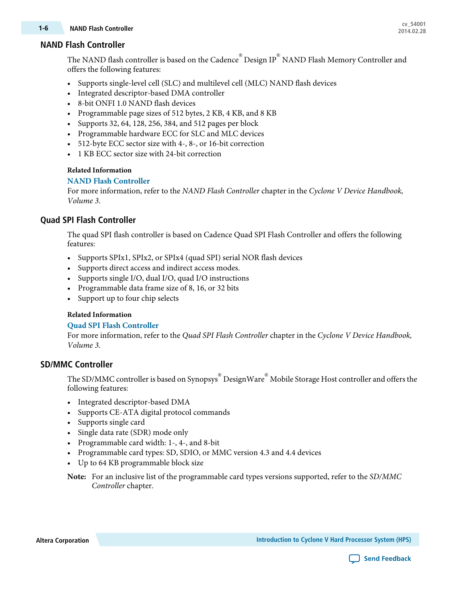### **NAND Flash Controller**

The NAND flash controller is based on the Cadence  $^\circ$  Design IP  $^\circ$  NAND Flash Memory Controller and offers the following features:

- Supports single-level cell (SLC) and multilevel cell (MLC) NAND flash devices
- Integrated descriptor-based DMA controller
- 8-bit ONFI 1.0 NAND flash devices
- Programmable page sizes of 512 bytes, 2 KB, 4 KB, and 8 KB
- Supports 32, 64, 128, 256, 384, and 512 pages per block
- Programmable hardware ECC for SLC and MLC devices
- 512-byte ECC sector size with 4-, 8-, or 16-bit correction
- 1 KB ECC sector size with 24-bit correction

#### **Related Information**

#### **NAND Flash [Controller](http://www.altera.com/literature/hb/cyclone-v/cv_54010.pdf)**

For more information, refer to the NAND Flash Controller chapter in the Cyclone V Device Handbook, Volume 3.

### **Quad SPI Flash Controller**

The quad SPI flash controller is based on Cadence Quad SPI Flash Controller and offers the following features:

- Supports SPIx1, SPIx2, or SPIx4 (quad SPI) serial NOR flash devices
- Supports direct access and indirect access modes.
- Supports single I/O, dual I/O, quad I/O instructions
- Programmable data frame size of 8, 16, or 32 bits
- Support up to four chip selects

#### **Related Information**

#### **Quad SPI Flash [Controller](http://www.altera.com/literature/hb/cyclone-v/cv_54012.pdf)**

For more information, refer to the Quad SPI Flash Controller chapter in the Cyclone V Device Handbook, Volume 3.

### **SD/MMC Controller**

The SD/MMC controller is based on Synopsys $^{{\rm \circledast}}$  DesignWare $^{{\rm \circledast}}$  Mobile Storage Host controller and offers the following features:

- Integrated descriptor-based DMA
- Supports CE-ATA digital protocol commands
- Supports single card
- Single data rate (SDR) mode only
- Programmable card width: 1-, 4-, and 8-bit
- Programmable card types: SD, SDIO, or MMC version 4.3 and 4.4 devices
- Up to 64 KB programmable block size

For an inclusive list of the programmable card types versions supported, refer to the SD/MMC **Note:** Controller chapter.

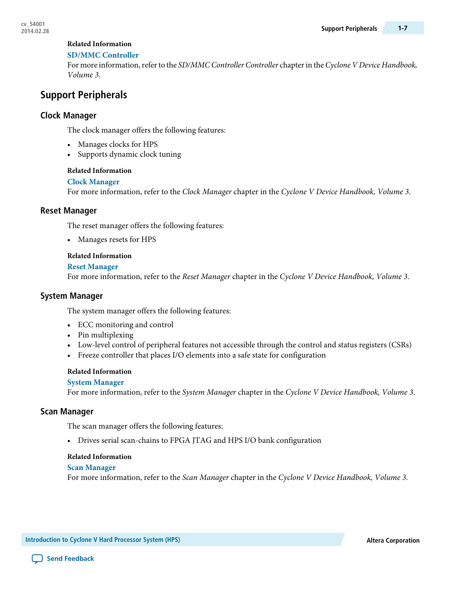#### **SD/MMC [Controller](http://www.altera.com/literature/hb/cyclone-v/cv_54011.pdf)**

For more information, refer to the SD/MMC Controller Controller chapter in the Cyclone V Device Handbook, Volume 3.

# **Support Peripherals**

### **Clock Manager**

The clock manager offers the following features:

- Manages clocks for HPS
- Supports dynamic clock tuning

#### **Related Information**

#### **Clock [Manager](http://www.altera.com/literature/hb/cyclone-v/cv_54002.pdf)**

For more information, refer to the Clock Manager chapter in the Cyclone V Device Handbook, Volume 3.

#### **Reset Manager**

The reset manager offers the following features:

• Manages resets for HPS

#### **Related Information**

#### **Reset [Manager](http://www.altera.com/literature/hb/cyclone-v/cv_54003.pdf)**

For more information, refer to the Reset Manager chapter in the Cyclone V Device Handbook, Volume 3.

#### **System Manager**

The system manager offers the following features:

- ECC monitoring and control
- Pin multiplexing
- Low-level control of peripheral features not accessible through the control and status registers (CSRs)
- Freeze controller that places I/O elements into a safe state for configuration

#### **Related Information**

#### **System [Manager](http://www.altera.com/literature/hb/cyclone-v/cv_54014.pdf)**

For more information, refer to the System Manager chapter in the Cyclone V Device Handbook, Volume 3.

#### **Scan Manager**

The scan manager offers the following features:

• Drives serial scan-chains to FPGA JTAG and HPS I/O bank configuration

#### **Related Information**

#### **Scan [Manager](http://www.altera.com/literature/hb/cyclone-v/cv_54015.pdf)**

For more information, refer to the Scan Manager chapter in the Cyclone V Device Handbook, Volume 3.

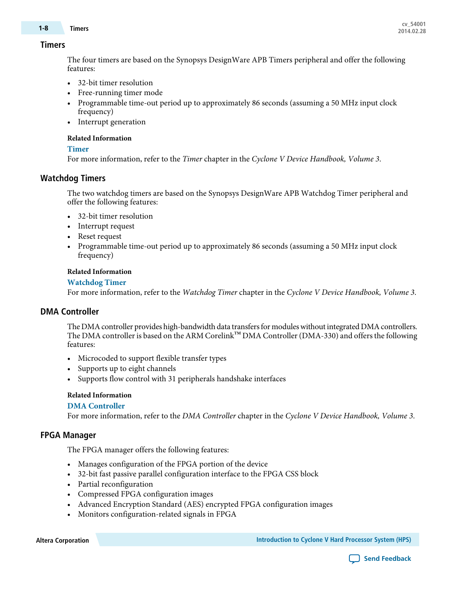# **cv\_54001 1-8 Timers 2014.02.28**

#### **Timers**

The four timers are based on the Synopsys DesignWare APB Timers peripheral and offer the following features:

- 32-bit timer resolution
- Free-running timer mode
- Programmable time-out period up to approximately 86 seconds (assuming a 50 MHz input clock frequency)
- Interrupt generation

#### **Related Information**

#### **[Timer](http://www.altera.com/literature/hb/cyclone-v/cv_54023.pdf)**

For more information, refer to the Timer chapter in the Cyclone V Device Handbook, Volume 3.

### **Watchdog Timers**

The two watchdog timers are based on the Synopsys DesignWare APB Watchdog Timer peripheral and offer the following features:

- 32-bit timer resolution
- Interrupt request
- Reset request
- Programmable time-out period up to approximately 86 seconds (assuming a 50 MHz input clock frequency)

#### **Related Information**

#### **[Watchdog](http://www.altera.com/literature/hb/cyclone-v/cv_54024.pdf) Timer**

For more information, refer to the Watchdog Timer chapter in the Cyclone V Device Handbook, Volume 3.

#### **DMA Controller**

The DMA controller provides high-bandwidth data transfers for modules without integrated DMA controllers. The DMA controller is based on the ARM Corelink™ DMA Controller (DMA-330) and offers the following features:

- Microcoded to support flexible transfer types
- Supports up to eight channels
- Supports flow control with 31 peripherals handshake interfaces

#### **Related Information**

#### **DMA [Controller](http://www.altera.com/literature/hb/cyclone-v/cv_54016.pdf)**

For more information, refer to the DMA Controller chapter in the Cyclone V Device Handbook, Volume 3.

#### **FPGA Manager**

The FPGA manager offers the following features:

- Manages configuration of the FPGA portion of the device
- 32-bit fast passive parallel configuration interface to the FPGA CSS block
- Partial reconfiguration
- Compressed FPGA configuration images
- Advanced Encryption Standard (AES) encrypted FPGA configuration images
- Monitors configuration-related signals in FPGA

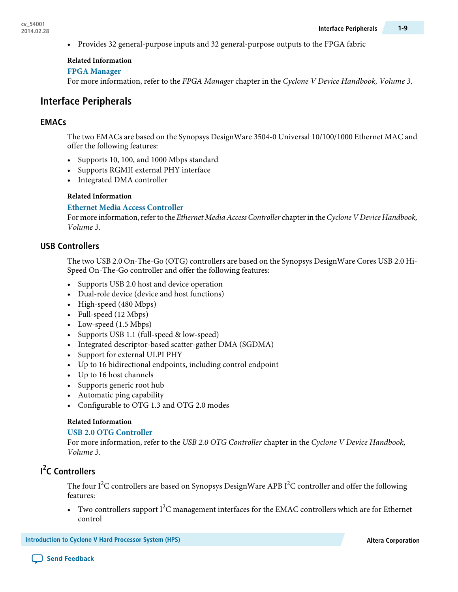• Provides 32 general-purpose inputs and 32 general-purpose outputs to the FPGA fabric

#### **Related Information**

#### **FPGA [Manager](http://www.altera.com/literature/hb/cyclone-v/cv_54013.pdf)**

For more information, refer to the FPGA Manager chapter in the Cyclone V Device Handbook, Volume 3.

# **Interface Peripherals**

### **EMACs**

The two EMACs are based on the Synopsys DesignWare 3504-0 Universal 10/100/1000 Ethernet MAC and offer the following features:

- Supports 10, 100, and 1000 Mbps standard
- Supports RGMII external PHY interface
- Integrated DMA controller

#### **Related Information**

#### **Ethernet Media Access [Controller](http://www.altera.com/literature/hb/cyclone-v/cv_54017.pdf)**

For more information, refer to the Ethernet Media Access Controller chapter in the Cyclone V Device Handbook, Volume 3.

### **USB Controllers**

The two USB 2.0 On-The-Go (OTG) controllers are based on the Synopsys DesignWare Cores USB 2.0 Hi-Speed On-The-Go controller and offer the following features:

- Supports USB 2.0 host and device operation
- Dual-role device (device and host functions)
- High-speed (480 Mbps)
- Full-speed (12 Mbps)
- Low-speed (1.5 Mbps)
- Supports USB 1.1 (full-speed & low-speed)
- Integrated descriptor-based scatter-gather DMA (SGDMA)
- Support for external ULPI PHY
- Up to 16 bidirectional endpoints, including control endpoint
- Up to 16 host channels
- Supports generic root hub
- Automatic ping capability
- Configurable to OTG 1.3 and OTG 2.0 modes

#### **Related Information**

#### **USB 2.0 OTG [Controller](http://www.altera.com/literature/hb/cyclone-v/cv_54018.pdf)**

For more information, refer to the USB 2.0 OTG Controller chapter in the Cyclone V Device Handbook, Volume 3.

# **I 2 C Controllers**

The four I $^2\rm C$  controllers are based on Synopsys DesignWare APB I $^2\rm C$  controller and offer the following features:

• Two controllers support  $I^2C$  management interfaces for the EMAC controllers which are for Ethernet control

**Introduction to Cyclone V Hard Processor System (HPS) Altera Corporation**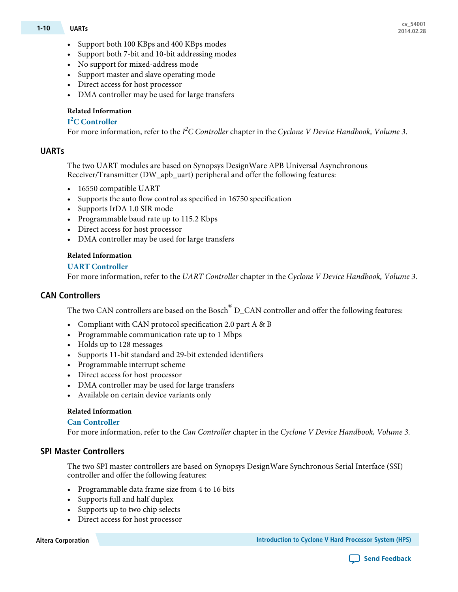- Support both 100 KBps and 400 KBps modes
- Support both 7-bit and 10-bit addressing modes
- No support for mixed-address mode
- Support master and slave operating mode
- Direct access for host processor
- DMA controller may be used for large transfers

# **I <sup>2</sup>C [Controller](http://www.altera.com/literature/hb/cyclone-v/cv_54020.pdf)**

For more information, refer to the I<sup>2</sup>C Controller chapter in the Cyclone V Device Handbook, Volume 3.

# **UARTs**

The two UART modules are based on Synopsys DesignWare APB Universal Asynchronous Receiver/Transmitter (DW\_apb\_uart) peripheral and offer the following features:

- 16550 compatible UART
- Supports the auto flow control as specified in 16750 specification
- Supports IrDA 1.0 SIR mode
- Programmable baud rate up to 115.2 Kbps
- Direct access for host processor
- DMA controller may be used for large transfers

# **Related Information**

# **UART [Controller](http://www.altera.com/literature/hb/cyclone-v/cv_54021.pdf)**

For more information, refer to the UART Controller chapter in the Cyclone V Device Handbook, Volume 3.

# **CAN Controllers**

The two CAN controllers are based on the Bosch $^\circ$  D\_CAN controller and offer the following features:

- Compliant with CAN protocol specification 2.0 part A & B
- Programmable communication rate up to 1 Mbps
- Holds up to 128 messages
- Supports 11-bit standard and 29-bit extended identifiers
- Programmable interrupt scheme
- Direct access for host processor
- DMA controller may be used for large transfers
- Available on certain device variants only

# **Related Information**

# **Can [Controller](http://www.altera.com/literature/hb/cyclone-v/cv_54025.pdf)**

For more information, refer to the Can Controller chapter in the Cyclone V Device Handbook, Volume 3.

# **SPI Master Controllers**

The two SPI master controllers are based on Synopsys DesignWare Synchronous Serial Interface (SSI) controller and offer the following features:

- Programmable data frame size from 4 to 16 bits
- Supports full and half duplex
- Supports up to two chip selects
- Direct access for host processor

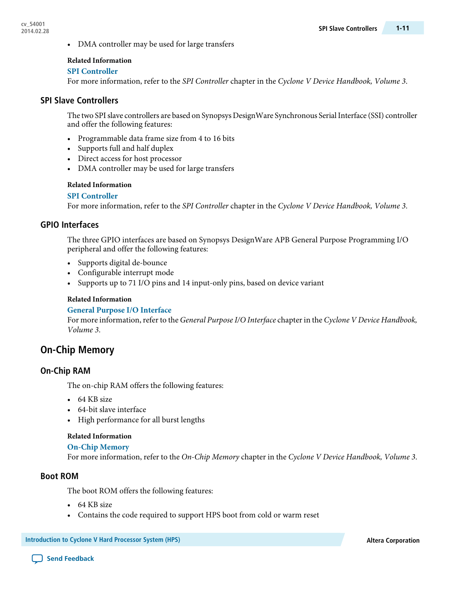• DMA controller may be used for large transfers

#### **Related Information**

#### **SPI [Controller](http://www.altera.com/literature/hb/cyclone-v/cv_54019.pdf)**

For more information, refer to the SPI Controller chapter in the Cyclone V Device Handbook, Volume 3.

#### **SPI Slave Controllers**

The two SPI slave controllers are based on Synopsys DesignWare Synchronous Serial Interface (SSI) controller and offer the following features:

- Programmable data frame size from 4 to 16 bits
- Supports full and half duplex
- Direct access for host processor
- DMA controller may be used for large transfers

#### **Related Information**

#### **SPI [Controller](http://www.altera.com/literature/hb/cyclone-v/cv_54019.pdf)**

For more information, refer to the SPI Controller chapter in the Cyclone V Device Handbook, Volume 3.

#### **GPIO Interfaces**

The three GPIO interfaces are based on Synopsys DesignWare APB General Purpose Programming I/O peripheral and offer the following features:

- Supports digital de-bounce
- Configurable interrupt mode
- Supports up to 71 I/O pins and 14 input-only pins, based on device variant

#### **Related Information**

#### **General Purpose I/O [Interface](http://www.altera.com/literature/hb/cyclone-v/cv_54022.pdf)**

For more information, refer to the General Purpose I/O Interface chapter in the Cyclone V Device Handbook, Volume 3.

# **On-Chip Memory**

#### **On-Chip RAM**

The on-chip RAM offers the following features:

- 64 KB size
- 64-bit slave interface
- High performance for all burst lengths

#### **Related Information**

#### **[On-Chip](http://www.altera.com/literature/hb/cyclone-v/cv_54009.pdf) Memory**

For more information, refer to the On-Chip Memory chapter in the Cyclone V Device Handbook, Volume 3.

#### **Boot ROM**

The boot ROM offers the following features:

- 64 KB size
- Contains the code required to support HPS boot from cold or warm reset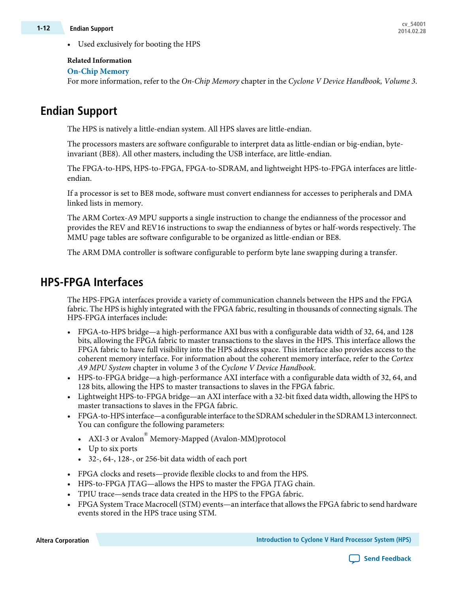• Used exclusively for booting the HPS

### **Related Information**

#### **[On-Chip](http://www.altera.com/literature/hb/cyclone-v/cv_54009.pdf) Memory**

For more information, refer to the On-Chip Memory chapter in the Cyclone V Device Handbook, Volume 3.

# **Endian Support**

The HPS is natively a little-endian system. All HPS slaves are little-endian.

The processors masters are software configurable to interpret data as little-endian or big-endian, byteinvariant (BE8). All other masters, including the USB interface, are little-endian.

The FPGA-to-HPS, HPS-to-FPGA, FPGA-to-SDRAM, and lightweight HPS-to-FPGA interfaces are littleendian.

If a processor is set to BE8 mode, software must convert endianness for accesses to peripherals and DMA linked lists in memory.

The ARM Cortex-A9 MPU supports a single instruction to change the endianness of the processor and provides the REV and REV16 instructions to swap the endianness of bytes or half-words respectively. The MMU page tables are software configurable to be organized as little-endian or BE8.

The ARM DMA controller is software configurable to perform byte lane swapping during a transfer.

# **HPS-FPGA Interfaces**

The HPS-FPGA interfaces provide a variety of communication channels between the HPS and the FPGA fabric. The HPS is highly integrated with the FPGA fabric, resulting in thousands of connecting signals. The HPS-FPGA interfaces include:

- FPGA-to-HPS bridge—a high-performance AXI bus with a configurable data width of 32, 64, and 128 bits, allowing the FPGA fabric to master transactions to the slaves in the HPS. This interface allows the FPGA fabric to have full visibility into the HPS address space. This interface also provides access to the coherent memory interface. For information about the coherent memory interface, refer to the Cortex A9 MPU System chapter in volume 3 of the Cyclone V Device Handbook.
- HPS-to-FPGA bridge—a high-performance AXI interface with a configurable data width of 32, 64, and 128 bits, allowing the HPS to master transactions to slaves in the FPGA fabric.
- Lightweight HPS-to-FPGA bridge—an AXI interface with a 32-bit fixed data width, allowing the HPS to master transactions to slaves in the FPGA fabric.
- FPGA-to-HPS interface—a configurable interface to the SDRAM schedulerin the SDRAM L3 interconnect. You can configure the following parameters:
	- AXI-3 or Avalon<sup>®</sup> Memory-Mapped (Avalon-MM)protocol
	- Up to six ports
	- 32-, 64-, 128-, or 256-bit data width of each port
- FPGA clocks and resets—provide flexible clocks to and from the HPS.
- HPS-to-FPGA JTAG—allows the HPS to master the FPGA JTAG chain.
- TPIU trace—sends trace data created in the HPS to the FPGA fabric.
- FPGA System Trace Macrocell (STM) events—an interface that allows the FPGA fabric to send hardware events stored in the HPS trace using STM.

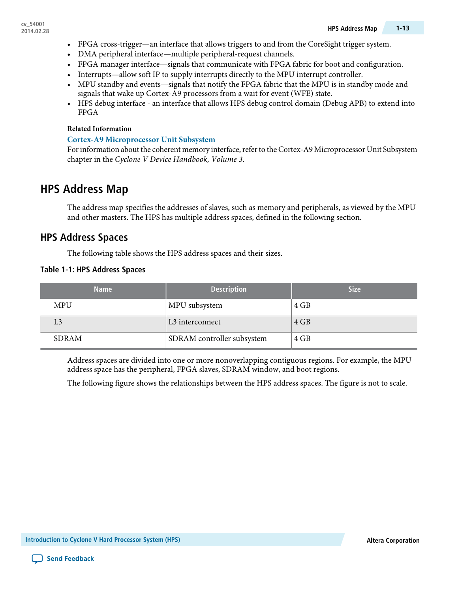- FPGA cross-trigger—an interface that allows triggers to and from the CoreSight trigger system.
- DMA peripheral interface—multiple peripheral-request channels.
- FPGA manager interface—signals that communicate with FPGA fabric for boot and configuration.
- Interrupts—allow soft IP to supply interrupts directly to the MPU interrupt controller.
- MPU standby and events—signals that notify the FPGA fabric that the MPU is in standby mode and signals that wake up Cortex-A9 processors from a wait for event (WFE) state.
- HPS debug interface an interface that allows HPS debug control domain (Debug APB) to extend into FPGA

#### **Cortex-A9 [Microprocessor](http://www.altera.com/literature/hb/cyclone-v/cv_54006.pdf) Unit Subsystem**

For information about the coherent memory interface, refer to the Cortex-A9 Microprocessor Unit Subsystem chapter in the Cyclone V Device Handbook, Volume 3.

# **HPS Address Map**

The address map specifies the addresses of slaves, such as memory and peripherals, as viewed by the MPU and other masters. The HPS has multiple address spaces, defined in the following section.

# **HPS Address Spaces**

The following table shows the HPS address spaces and their sizes.

#### **Table 1-1: HPS Address Spaces**

| <b>Name</b>  | <b>Description</b>          | <b>Size</b> |
|--------------|-----------------------------|-------------|
| <b>MPU</b>   | MPU subsystem               | 4 GB        |
| L3           | L <sub>3</sub> interconnect | 4 GB        |
| <b>SDRAM</b> | SDRAM controller subsystem  | 4 GB        |

Address spaces are divided into one or more nonoverlapping contiguous regions. For example, the MPU address space has the peripheral, FPGA slaves, SDRAM window, and boot regions.

The following figure shows the relationships between the HPS address spaces. The figure is not to scale.

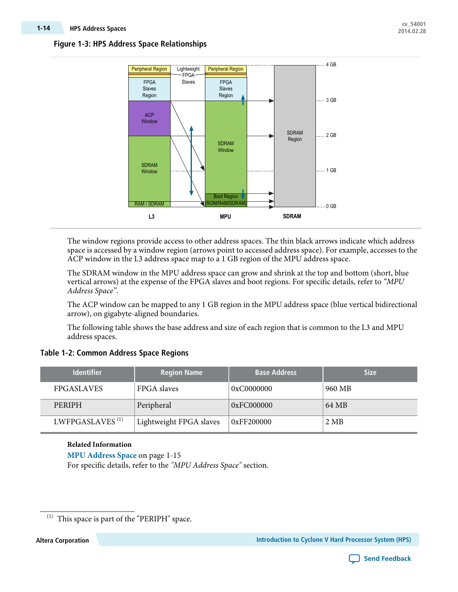#### **Figure 1-3: HPS Address Space Relationships**



The window regions provide access to other address spaces. The thin black arrows indicate which address space is accessed by a window region (arrows point to accessed address space). For example, accesses to the ACP window in the L3 address space map to a 1 GB region of the MPU address space.

The SDRAM window in the MPU address space can grow and shrink at the top and bottom (short, blue vertical arrows) at the expense of the FPGA slaves and boot regions. For specific details, refer to "MPU Address Space".

The ACP window can be mapped to any 1 GB region in the MPU address space (blue vertical bidirectional arrow), on gigabyte-aligned boundaries.

The following table shows the base address and size of each region that is common to the L3 and MPU address spaces.

#### **Table 1-2: Common Address Space Regions**

| <b>Identifier</b>           | <b>Region Name</b>      | <b>Base Address</b> | <b>Size</b> |
|-----------------------------|-------------------------|---------------------|-------------|
| <b>FPGASLAVES</b>           | FPGA slaves             | 0xC0000000          | 960 MB      |
| PERIPH                      | Peripheral              | 0xFC000000          | 64 MB       |
| LWFPGASLAVES <sup>(1)</sup> | Lightweight FPGA slaves | 0xFF200000          | 2 MB        |

### **Related Information MPU [Address](#page-14-0) Space** on page 1-15 For specific details, refer to the "MPU Address Space" section.



 $\,^{(1)}$  This space is part of the "PERIPH" space.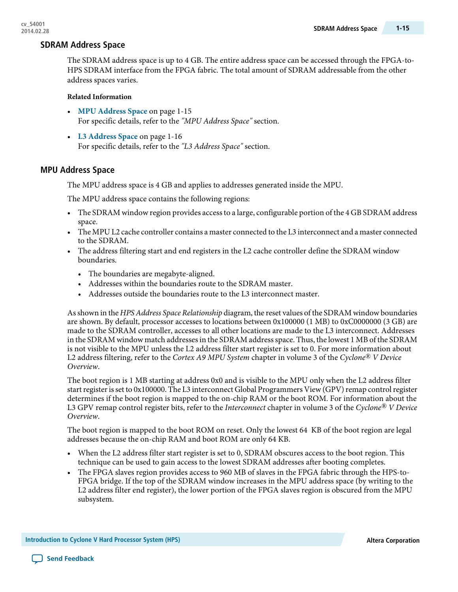### **SDRAM Address Space**

The SDRAM address space is up to 4 GB. The entire address space can be accessed through the FPGA-to-HPS SDRAM interface from the FPGA fabric. The total amount of SDRAM addressable from the other address spaces varies.

#### **Related Information**

- **MPU [Address](#page-14-0) Space** on page 1-15 For specific details, refer to the "MPU Address Space" section.
- **L3 [Address](#page-15-0) Space** on page 1-16 For specific details, refer to the "L3 Address Space" section.

#### <span id="page-14-0"></span>**MPU Address Space**

The MPU address space is 4 GB and applies to addresses generated inside the MPU.

The MPU address space contains the following regions:

- The SDRAM window region provides accessto a large, configurable portion of the 4 GB SDRAM address space.
- The MPU L2 cache controller contains a master connected to the L3 interconnect and a master connected to the SDRAM.
- The address filtering start and end registers in the L2 cache controller define the SDRAM window boundaries.
	- The boundaries are megabyte-aligned.
	- Addresses within the boundaries route to the SDRAM master.
	- Addresses outside the boundaries route to the L3 interconnect master.

As shown in the HPS Address Space Relationship diagram, the reset values of the SDRAM window boundaries are shown. By default, processor accesses to locations between 0x100000 (1 MB) to 0xC0000000 (3 GB) are made to the SDRAM controller, accesses to all other locations are made to the L3 interconnect. Addresses in the SDRAM window match addressesin the SDRAM addressspace. Thus, the lowest 1 MB of the SDRAM is not visible to the MPU unless the L2 address filter start register is set to 0. For more information about L2 address filtering, refer to the Cortex A9 MPU System chapter in volume 3 of the Cyclone*®* V Device Overview.

The boot region is 1 MB starting at address 0x0 and is visible to the MPU only when the L2 address filter start register is set to 0x100000. The L3 interconnect Global Programmers View (GPV) remap control register determines if the boot region is mapped to the on-chip RAM or the boot ROM. For information about the L3 GPV remap control register bits, refer to the Interconnect chapter in volume 3 of the Cyclone*®* V Device Overview.

The boot region is mapped to the boot ROM on reset. Only the lowest 64 KB of the boot region are legal addresses because the on-chip RAM and boot ROM are only 64 KB.

- When the L2 address filter start register is set to 0, SDRAM obscures access to the boot region. This technique can be used to gain access to the lowest SDRAM addresses after booting completes.
- The FPGA slaves region provides access to 960 MB of slaves in the FPGA fabric through the HPS-to-FPGA bridge. If the top of the SDRAM window increases in the MPU address space (by writing to the L2 address filter end register), the lower portion of the FPGA slaves region is obscured from the MPU subsystem.

**Introduction to Cyclone V Hard Processor System (HPS) Altera Corporation**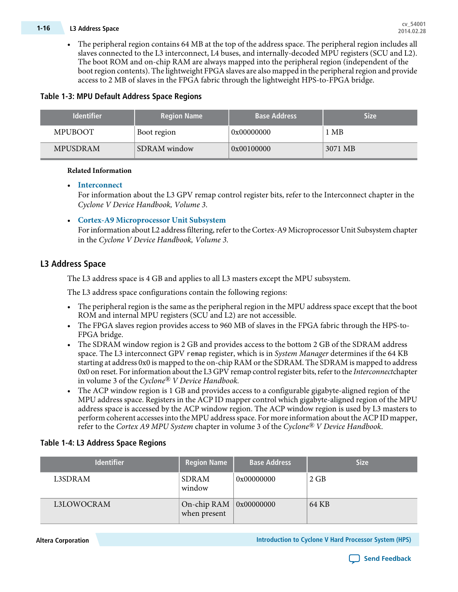# **cv\_54001 1-16 L3 Address Space 2014.02.28**

• The peripheral region contains 64 MB at the top of the address space. The peripheral region includes all slaves connected to the L3 interconnect, L4 buses, and internally-decoded MPU registers (SCU and L2). The boot ROM and on-chip RAM are always mapped into the peripheral region (independent of the boot region contents). The lightweight FPGA slaves are also mapped in the peripheral region and provide access to 2 MB of slaves in the FPGA fabric through the lightweight HPS-to-FPGA bridge.

### **Table 1-3: MPU Default Address Space Regions**

| <b>Identifier</b> | <b>Region Name</b>  | <b>Base Address</b> | Size    |
|-------------------|---------------------|---------------------|---------|
| <b>MPUBOOT</b>    | Boot region         | 0x00000000          | 1 MB    |
| <b>MPUSDRAM</b>   | <b>SDRAM</b> window | 0x00100000          | 3071 MB |

#### **Related Information**

#### • **[Interconnect](http://www.altera.com/literature/hb/cyclone-v/cv_54004.pdf)**

For information about the L3 GPV remap control register bits, refer to the Interconnect chapter in the Cyclone V Device Handbook, Volume 3.

• **Cortex-A9 [Microprocessor](http://www.altera.com/literature/hb/cyclone-v/cv_54006.pdf) Unit Subsystem**

For information about L2 address filtering, refer to the Cortex-A9 Microprocessor Unit Subsystem chapter in the Cyclone V Device Handbook, Volume 3.

### <span id="page-15-0"></span>**L3 Address Space**

The L3 address space is 4 GB and applies to all L3 masters except the MPU subsystem.

The L3 address space configurations contain the following regions:

- The peripheral region is the same as the peripheral region in the MPU address space except that the boot ROM and internal MPU registers (SCU and L2) are not accessible.
- The FPGA slaves region provides access to 960 MB of slaves in the FPGA fabric through the HPS-to-FPGA bridge.
- The SDRAM window region is 2 GB and provides access to the bottom 2 GB of the SDRAM address space. The L3 interconnect GPV remap register, which is in System Manager determines if the 64 KB starting at address 0x0 is mapped to the on-chip RAM orthe SDRAM. The SDRAM is mapped to address 0x0 on reset. For information about the L3 GPV remap control register bits, refer to the Interconnectchapter in volume 3 of the Cyclone*®* V Device Handbook.
- The ACP window region is 1 GB and provides access to a configurable gigabyte-aligned region of the MPU address space. Registers in the ACP ID mapper control which gigabyte-aligned region of the MPU address space is accessed by the ACP window region. The ACP window region is used by L3 masters to perform coherent accesses into the MPU address space. For more information about the ACP ID mapper, refer to the Cortex A9 MPU System chapter in volume 3 of the Cyclone*®* V Device Handbook.

#### **Table 1-4: L3 Address Space Regions**

| <b>Identifier</b> | <b>Region Name</b>                             | <b>Base Address</b> | <b>Size</b> |
|-------------------|------------------------------------------------|---------------------|-------------|
| L3SDRAM           | <b>SDRAM</b><br>window                         | 0x00000000          | 2 GB        |
| L3LOWOCRAM        | On-chip RAM $\vert$ 0x00000000<br>when present |                     | 64 KB       |

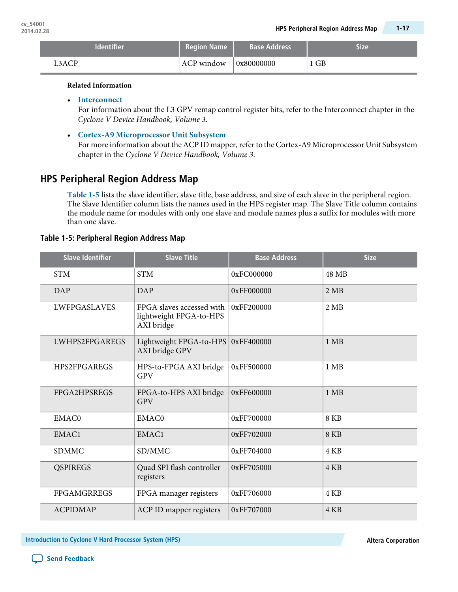| <b>Identifier</b> | <b>Region Name</b> | <b>Base Address</b> | <b>Size</b> |
|-------------------|--------------------|---------------------|-------------|
| ACP               | ACP window         | 0x80000000          | 1 GB        |

• **[Interconnect](http://www.altera.com/literature/hb/cyclone-v/cv_54004.pdf)**

For information about the L3 GPV remap control register bits, refer to the Interconnect chapter in the Cyclone V Device Handbook, Volume 3.

• **Cortex-A9 [Microprocessor](http://www.altera.com/literature/hb/cyclone-v/cv_54006.pdf) Unit Subsystem**

For more information about the ACP ID mapper, refer to the Cortex-A9 Microprocessor Unit Subsystem chapter in the Cyclone V Device Handbook, Volume 3.

# **HPS Peripheral Region Address Map**

**[Table](#page-16-0) 1-5** lists the slave identifier, slave title, base address, and size of each slave in the peripheral region. The Slave Identifier column lists the names used in the HPS register map. The Slave Title column contains the module name for modules with only one slave and module names plus a suffix for modules with more than one slave.

#### <span id="page-16-0"></span>**Table 1-5: Peripheral Region Address Map**

| <b>Slave Identifier</b> | <b>Slave Title</b>                                                 | <b>Base Address</b> | <b>Size</b> |
|-------------------------|--------------------------------------------------------------------|---------------------|-------------|
| <b>STM</b>              | <b>STM</b>                                                         | 0xFC000000          | 48 MB       |
| DAP                     | <b>DAP</b>                                                         | 0xFF000000          | 2 MB        |
| <b>LWFPGASLAVES</b>     | FPGA slaves accessed with<br>lightweight FPGA-to-HPS<br>AXI bridge | 0xFF200000          | 2 MB        |
| LWHPS2FPGAREGS          | Lightweight FPGA-to-HPS<br>AXI bridge GPV                          | 0xFF400000          | $1$ MB      |
| <b>HPS2FPGAREGS</b>     | HPS-to-FPGA AXI bridge<br><b>GPV</b>                               | 0xFF500000          | $1$ MB      |
| FPGA2HPSREGS            | FPGA-to-HPS AXI bridge<br><b>GPV</b>                               | 0xFF600000          | $1$ MB      |
| <b>EMAC0</b>            | EMAC0                                                              | 0xFF700000          | 8 KB        |
| EMAC1                   | EMAC1                                                              | 0xFF702000          | <b>8 KB</b> |
| <b>SDMMC</b>            | SD/MMC                                                             | 0xFF704000          | 4 KB        |
| <b>QSPIREGS</b>         | Quad SPI flash controller<br>registers                             | 0xFF705000          | 4 KB        |
| <b>FPGAMGRREGS</b>      | FPGA manager registers                                             | 0xFF706000          | 4 KB        |
| <b>ACPIDMAP</b>         | ACP ID mapper registers                                            | 0xFF707000          | 4 KB        |

**Introduction to Cyclone V Hard Processor System (HPS) Altera Corporation**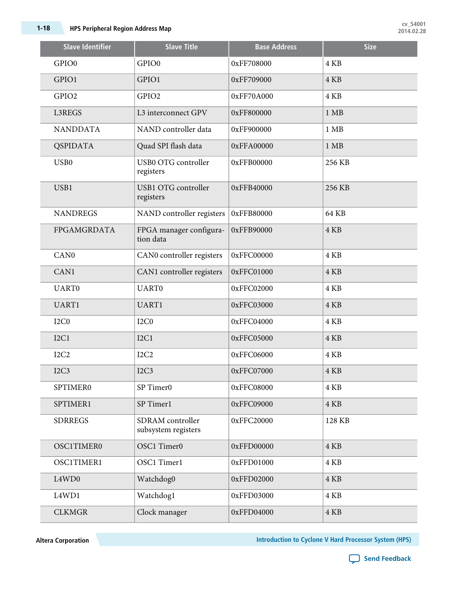| <b>Slave Identifier</b>        | <b>Slave Title</b>                      | <b>Base Address</b> | <b>Size</b>    |
|--------------------------------|-----------------------------------------|---------------------|----------------|
| GPIO0                          | GPIO0                                   | 0xFF708000          | 4 KB           |
| GPIO1                          | GPIO1                                   | 0xFF709000          | 4 KB           |
| GPIO2                          | GPIO <sub>2</sub>                       | 0xFF70A000          | 4 KB           |
| L3REGS                         | L3 interconnect GPV                     | 0xFF800000          | $1$ MB         |
| <b>NANDDATA</b>                | NAND controller data                    | 0xFF900000          | $1$ MB         |
| <b>QSPIDATA</b>                | Quad SPI flash data                     | 0xFFA00000          | $1 \text{ MB}$ |
| USB <sub>0</sub>               | USB0 OTG controller<br>registers        | 0xFFB00000          | 256 KB         |
| USB1                           | <b>USB1 OTG controller</b><br>registers | 0xFFB40000          | 256 KB         |
| <b>NANDREGS</b>                | NAND controller registers               | 0xFFB80000          | 64 KB          |
| FPGAMGRDATA                    | FPGA manager configura-<br>tion data    | 0xFFB90000          | 4 KB           |
| CAN <sub>0</sub>               | CAN0 controller registers               | 0xFFC00000          | 4 KB           |
| CAN1                           | CAN1 controller registers               | 0xFFC01000          | 4 KB           |
| <b>UART0</b>                   | <b>UART0</b>                            | 0xFFC02000          | 4 KB           |
| UART1                          | UART1                                   | 0xFFC03000          | 4 KB           |
| I <sub>2</sub> C <sub>0</sub>  | I <sub>2</sub> C <sub>0</sub>           | 0xFFC04000          | 4 KB           |
| I2C1                           | I2C1                                    | 0xFFC05000          | 4 KB           |
| I <sub>2</sub> C <sub>2</sub>  | I <sub>2</sub> C <sub>2</sub>           | 0xFFC06000          | 4 KB           |
| I2C3                           | I2C3                                    | 0xFFC07000          | 4 KB           |
| <b>SPTIMER0</b>                | SP Timer0                               | 0xFFC08000          | 4 KB           |
| SPTIMER1                       | SP Timer1                               | 0xFFC09000          | 4 KB           |
| <b>SDRREGS</b>                 | SDRAM controller<br>subsystem registers | 0xFFC20000          | 128 KB         |
| OSC1TIMER0                     | OSC1 Timer0                             | 0xFFD00000          | 4 KB           |
| OSC1TIMER1                     | OSC1 Timer1                             | 0xFFD01000          | 4 KB           |
| L4WD0                          | Watchdog0                               | 0xFFD02000          | 4 KB           |
| L <sub>4</sub> W <sub>D1</sub> | Watchdog1                               | 0xFFD03000          | 4 KB           |
| <b>CLKMGR</b>                  | Clock manager                           | 0xFFD04000          | 4 KB           |

**Altera Corporation Introduction to Cyclone V Hard Processor System (HPS)**

C **Send [Feedback](mailto:TechDocFeedback@altera.com?subject=Feedback%20on%20Introduction%20to%20Cyclone%20V%20Hard%20Processor%20System%20(HPS)%20(cv_54001%202014.02.28)&body=We%20appreciate%20your%20feedback.%20In%20your%20comments,%20also%20specify%20the%20page%20number%20or%20paragraph.%20Thank%20you.)**